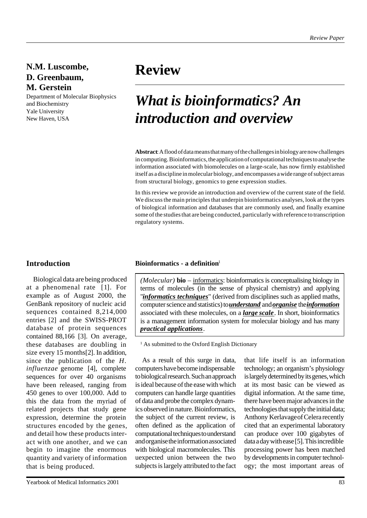## **N.M. Luscombe, D. Greenbaum, M. Gerstein**

Department of Molecular Biophysics and Biochemistry Yale University New Haven, USA

## **Review**

# *What is bioinformatics? An introduction and overview*

**Abstract**: A flood of data means that many of the challenges in biology are now challenges in computing. Bioinformatics, the application of computational techniques to analyse the information associated with biomolecules on a large-scale, has now firmly established itself as a discipline in molecular biology, and encompasses a wide range of subject areas from structural biology, genomics to gene expression studies.

In this review we provide an introduction and overview of the current state of the field. We discuss the main principles that underpin bioinformatics analyses, look at the types of biological information and databases that are commonly used, and finally examine some of the studies that are being conducted, particularly with reference to transcription regulatory systems.

## **Introduction**

Biological data are being produced at a phenomenal rate [1]. For example as of August 2000, the GenBank repository of nucleic acid sequences contained 8,214,000 entries [2] and the SWISS-PROT database of protein sequences contained 88,166 [3]. On average, these databases are doubling in size every 15 months [2]. In addition, since the publication of the *H. influenzae* genome [4], complete sequences for over 40 organisms have been released, ranging from 450 genes to over 100,000. Add to this the data from the myriad of related projects that study gene expression, determine the protein structures encoded by the genes, and detail how these products interact with one another, and we can begin to imagine the enormous quantity and variety of information that is being produced.

**Bioinformatics - a definition**<sup>1</sup>

*(Molecular)* **bio** – informatics: bioinformatics is conceptualising biology in terms of molecules (in the sense of physical chemistry) and applying "*informatics techniques*" (derived from disciplines such as applied maths, computer science and statistics) to *understand* and *organise* the *information* associated with these molecules, on a *large scale*. In short, bioinformatics is a management information system for molecular biology and has many *practical applications*.

<sup>1</sup> As submitted to the Oxford English Dictionary

As a result of this surge in data, computers have become indispensable to biological research. Such an approach is ideal because of the ease with which computers can handle large quantities of data and probe the complex dynamics observed in nature. Bioinformatics, the subject of the current review, is often defined as the application of computational techniques to understand and organise the information associated with biological macromolecules. This uexpected union between the two subjects is largely attributed to the fact that life itself is an information technology; an organism's physiology is largely determined by its genes, which at its most basic can be viewed as digital information. At the same time, there have been major advances in the technologies that supply the initial data; Anthony Kerlavage of Celera recently cited that an experimental laboratory can produce over 100 gigabytes of data a day with ease [5]. This incredible processing power has been matched by developments in computer technology; the most important areas of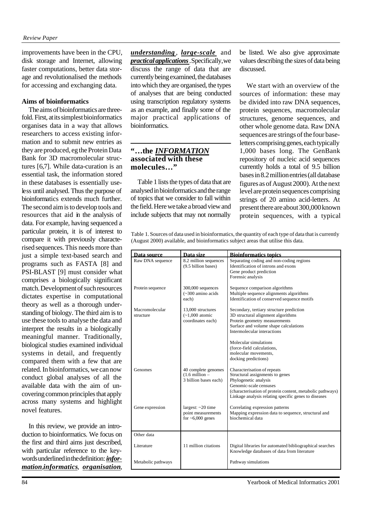improvements have been in the CPU, disk storage and Internet, allowing faster computations, better data storage and revolutionalised the methods for accessing and exchanging data.

## **Aims of bioinformatics**

The aims of bioinformatics are threefold. First, at its simplest bioinformatics organises data in a way that allows researchers to access existing information and to submit new entries as they are produced, eg the Protein Data Bank for 3D macromolecular structures [6,7]. While data-curation is an essential task, the information stored in these databases is essentially useless until analysed. Thus the purpose of bioinformatics extends much further. The second aim is to develop tools and resources that aid in the analysis of data. For example, having sequenced a particular protein, it is of interest to compare it with previously characterised sequences. This needs more than just a simple text-based search and programs such as FASTA [8] and PSI-BLAST [9] must consider what comprises a biologically significant match. Development of such resources dictates expertise in computational theory as well as a thorough understanding of biology. The third aim is to use these tools to analyse the data and interpret the results in a biologically meaningful manner. Traditionally, biological studies examined individual systems in detail, and frequently compared them with a few that are related. In bioinformatics, we can now conduct global analyses of all the available data with the aim of uncovering common principles that apply across many systems and highlight novel features.

In this review, we provide an introduction to bioinformatics. We focus on the first and third aims just described, with particular reference to the keywords underlined in the definition: *information*,*informatics*, *organisation*,

*understanding* , *large-scale* and *practical applications*. Specifically, we discuss the range of data that are currently being examined, the databases into which they are organised, the types of analyses that are being conducted using transcription regulatory systems as an example, and finally some of the major practical applications of bioinformatics.

## **"…the** *INFORMATION* **associated with these molecules…"**

Table 1 lists the types of data that are analysed in bioinformatics and the range of topics that we consider to fall within the field. Here we take a broad view and include subjects that may not normally

be listed. We also give approximate values describing the sizes of data being discussed.

We start with an overview of the sources of information: these may be divided into raw DNA sequences, protein sequences, macromolecular structures, genome sequences, and other whole genome data. Raw DNA sequences are strings of the four baseletters comprising genes, each typically 1,000 bases long. The GenBank repository of nucleic acid sequences currently holds a total of 9.5 billion bases in 8.2 million entries (all database figures as of August 2000). At the next level are protein sequences comprising strings of 20 amino acid-letters. At present there are about 300,000 known protein sequences, with a typical

Table 1. Sources of data used in bioinformatics, the quantity of each type of data that is currently (August 2000) available, and bioinformatics subject areas that utilise this data.

| Data source                 | Data size                                                                       | <b>Bioinformatics topics</b>                                                                                                                                                                                                                                                                   |
|-----------------------------|---------------------------------------------------------------------------------|------------------------------------------------------------------------------------------------------------------------------------------------------------------------------------------------------------------------------------------------------------------------------------------------|
| Raw DNA sequence            | 8.2 million sequences<br>(9.5 billion bases)                                    | Separating coding and non-coding regions<br>Identification of introns and exons<br>Gene product prediction<br>Forensic analysis                                                                                                                                                                |
| Protein sequence            | $300,000$ sequences<br>$\left(\sim\!\frac{300}{20}\right)$ amino acids<br>each) | Sequence comparison algorithms<br>Multiple sequence alignments algorithms<br>Identification of conserved sequence motifs                                                                                                                                                                       |
| Macromolecular<br>structure | 13,000 structures<br>$(-1,000$ atomic<br>coordinates each)                      | Secondary, tertiary structure prediction<br>3D structural alignment algorithms<br>Protein geometry measurements<br>Surface and volume shape calculations<br>Intermolecular interactions<br>Molecular simulations<br>(force-field calculations,<br>molecular movements.<br>docking predictions) |
| Genomes                     | 40 complete genomes<br>$(1.6 \text{ million} -$<br>3 billion bases each)        | Characterisation of repeats<br>Structural assignments to genes<br>Phylogenetic analysis<br>Genomic-scale censuses<br>(characterisation of protein content, metabolic pathways)<br>Linkage analysis relating specific genes to diseases                                                         |
| Gene expression             | largest: $\sim$ 20 time<br>point measurements<br>for $\sim 6,000$ genes         | Correlating expression patterns<br>Mapping expression data to sequence, structural and<br>biochemical data                                                                                                                                                                                     |
| Other data                  |                                                                                 |                                                                                                                                                                                                                                                                                                |
| Literature                  | 11 million citations                                                            | Digital libraries for automated bibliographical searches<br>Knowledge databases of data from literature                                                                                                                                                                                        |
| Metabolic pathways          |                                                                                 | Pathway simulations                                                                                                                                                                                                                                                                            |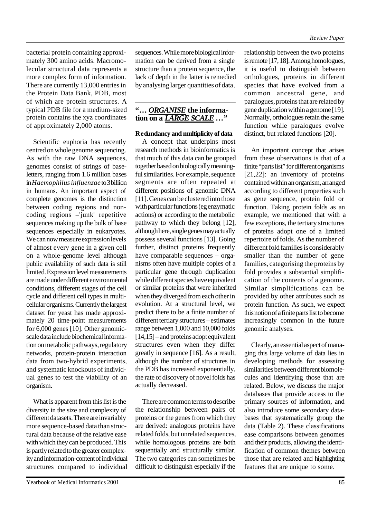bacterial protein containing approximately 300 amino acids. Macromolecular structural data represents a more complex form of information. There are currently 13,000 entries in the Protein Data Bank, PDB, most of which are protein structures. A typical PDB file for a medium-sized protein contains the xyz coordinates of approximately 2,000 atoms.

Scientific euphoria has recently centred on whole genome sequencing. As with the raw DNA sequences, genomes consist of strings of baseletters, ranging from 1.6 million bases in *Haemophilus influenzae* to 3 billion in humans. An important aspect of complete genomes is the distinction between coding regions and noncoding regions –'junk' repetitive sequences making up the bulk of base sequences especially in eukaryotes. We can now measure expression levels of almost every gene in a given cell on a whole-genome level although public availability of such data is still limited. Expression level measurements are made under different environmental conditions, different stages of the cell cycle and different cell types in multicellular organisms. Currently the largest dataset for yeast has made approximately 20 time-point measurements for 6,000 genes [10]. Other genomicscale data include biochemical information on metabolic pathways, regulatory networks, protein-protein interaction data from two-hybrid experiments, and systematic knockouts of individual genes to test the viability of an organism.

What is apparent from this list is the diversity in the size and complexity of different datasets. There are invariably more sequence-based data than structural data because of the relative ease with which they can be produced. This is partly related to the greater complexity and information-content of individual structures compared to individual sequences. While more biological information can be derived from a single structure than a protein sequence, the lack of depth in the latter is remedied by analysing larger quantities of data.

## **"…** *ORGANISE* **the information on a** *LARGE SCALE* **…"**

## **Redundancy and multiplicity of data**

A concept that underpins most research methods in bioinformatics is that much of this data can be grouped together based on biologically meaningful similarities. For example, sequence segments are often repeated at different positions of genomic DNA [11]. Genes can be clustered into those with particular functions (eg enzymatic actions) or according to the metabolic pathway to which they belong [12], although here, single genes may actually possess several functions [13]. Going further, distinct proteins frequently have comparable sequences – organisms often have multiple copies of a particular gene through duplication while different species have equivalent or similar proteins that were inherited when they diverged from each other in evolution. At a structural level, we predict there to be a finite number of different tertiary structures – estimates range between 1,000 and 10,000 folds [14,15] – and proteins adopt equivalent structures even when they differ greatly in sequence [16]. As a result, although the number of structures in the PDB has increased exponentially, the rate of discovery of novel folds has actually decreased.

There are common terms to describe the relationship between pairs of proteins or the genes from which they are derived: analogous proteins have related folds, but unrelated sequences, while homologous proteins are both sequentially and structurally similar. The two categories can sometimes be difficult to distinguish especially if the

relationship between the two proteins is remote [17, 18]. Among homologues, it is useful to distinguish between orthologues, proteins in different species that have evolved from a common ancestral gene, and paralogues, proteins that are related by gene duplication within a genome [19]. Normally, orthologues retain the same function while paralogues evolve distinct, but related functions [20].

An important concept that arises from these observations is that of a finite "parts list" for different organisms [21,22]: an inventory of proteins contained within an organism, arranged according to different properties such as gene sequence, protein fold or function. Taking protein folds as an example, we mentioned that with a few exceptions, the tertiary structures of proteins adopt one of a limited repertoire of folds. As the number of different fold families is considerably smaller than the number of gene families, categorising the proteins by fold provides a substantial simplification of the contents of a genome. Similar simplifications can be provided by other attributes such as protein function. As such, we expect this notion of a finite parts list to become increasingly common in the future genomic analyses.

Clearly, an essential aspect of managing this large volume of data lies in developing methods for assessing similarities between different biomolecules and identifying those that are related. Below, we discuss the major databases that provide access to the primary sources of information, and also introduce some secondary databases that systematically group the data (Table 2). These classifications ease comparisons between genomes and their products, allowing the identification of common themes between those that are related and highlighting features that are unique to some.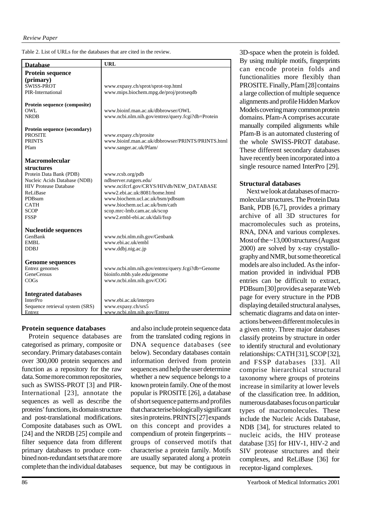| Table 2. List of URLs for the databases that are cited in the review. |
|-----------------------------------------------------------------------|
|                                                                       |

| <b>Database</b>                 | <b>URL</b>                                        |
|---------------------------------|---------------------------------------------------|
| <b>Protein sequence</b>         |                                                   |
| (primary)                       |                                                   |
| <b>SWISS-PROT</b>               | www.expasy.ch/sprot/sprot-top.html                |
| PIR-International               | www.mips.biochem.mpg.de/proj/protseqdb            |
|                                 |                                                   |
| Protein sequence (composite)    |                                                   |
| OWL.                            | www.bioinf.man.ac.uk/dbbrowser/OWL                |
| <b>NRDB</b>                     | www.ncbi.nlm.nih.gov/entrez/query.fcgi?db=Protein |
| Protein sequence (secondary)    |                                                   |
| <b>PROSITE</b>                  | www.expasy.ch/prosite                             |
| <b>PRINTS</b>                   | www.bioinf.man.ac.uk/dbbrowser/PRINTS/PRINTS.html |
| Pfam                            | www.sanger.ac.uk/Pfam/                            |
| <b>Macromolecular</b>           |                                                   |
| <b>structures</b>               |                                                   |
| Protein Data Bank (PDB)         | www.rcsb.org/pdb                                  |
| Nucleic Acids Database (NDB)    | ndbserver.rutgers.edu/                            |
| <b>HIV Protease Database</b>    | www.ncifcrf.gov/CRYS/HIVdb/NEW_DATABASE           |
| ReLiBase                        | www2.ebi.ac.uk:8081/home.html                     |
| PDBsum                          | www.biochem.ucl.ac.uk/bsm/pdbsum                  |
| <b>CATH</b>                     | www.biochem.ucl.ac.uk/bsm/cath                    |
| <b>SCOP</b>                     | scop.mrc-lmb.cam.ac.uk/scop                       |
| <b>FSSP</b>                     | www2.embl-ebi.ac.uk/dali/fssp                     |
|                                 |                                                   |
| <b>Nucleotide sequences</b>     |                                                   |
| GenBank                         | www.ncbi.nlm.nih.gov/Genbank                      |
| EMBL                            | www.ebi.ac.uk/embl                                |
| <b>DDBJ</b>                     | www.ddbj.nig.ac.jp                                |
| <b>Genome sequences</b>         |                                                   |
| Entrez genomes                  | www.ncbi.nlm.nih.gov/entrez/query.fcgi?db=Genome  |
| GeneCensus                      | bioinfo.mbb.yale.edu/genome                       |
| COGs                            | www.ncbi.nlm.nih.gov/COG                          |
| <b>Integrated databases</b>     |                                                   |
| <b>InterPro</b>                 | www.ebi.ac.uk/interpro                            |
| Sequence retrieval system (SRS) | www.expasy.ch/srs5                                |
| Entrez                          | www.ncbi.nlm.nih.gov/Entrez                       |

## **Protein sequence databases**

Protein sequence databases are categorised as primary, composite or secondary. Primary databases contain over 300,000 protein sequences and function as a repository for the raw data. Some more common repositories, such as SWISS-PROT [3] and PIR-International [23], annotate the sequences as well as describe the proteins' functions, its domain structure and post-translational modifications. Composite databases such as OWL [24] and the NRDB [25] compile and filter sequence data from different primary databases to produce combined non-redundant sets that are more complete than the individual databases

and also include protein sequence data from the translated coding regions in DNA sequence databases (see below). Secondary databases contain information derived from protein sequences and help the user determine whether a new sequence belongs to a known protein family. One of the most popular is PROSITE [26], a database of short sequence patterns and profiles that characterise biologically significant sites in proteins. PRINTS [27] expands on this concept and provides a compendium of protein fingerprints – groups of conserved motifs that characterise a protein family. Motifs are usually separated along a protein sequence, but may be contiguous in

3D-space when the protein is folded. By using multiple motifs, fingerprints can encode protein folds and functionalities more flexibly than PROSITE. Finally, Pfam [28] contains a large collection of multiple sequence alignments and profile Hidden Markov Models covering many common protein domains. Pfam-A comprises accurate manually compiled alignments while Pfam-B is an automated clustering of the whole SWISS-PROT database. These different secondary databases have recently been incorporated into a single resource named InterPro [29].

#### **Structural databases**

Next we look at databases of macromolecular structures. The Protein Data Bank, PDB [6,7], provides a primary archive of all 3D structures for macromolecules such as proteins, RNA, DNA and various complexes. Most of the ~13,000 structures (August 2000) are solved by x-ray crystallography and NMR, but some theoretical models are also included. As the information provided in individual PDB entries can be difficult to extract, PDBsum [30] provides a separate Web page for every structure in the PDB displaying detailed structural analyses, schematic diagrams and data on interactions between different molecules in a given entry. Three major databases classify proteins by structure in order to identify structural and evolutionary relationships: CATH [31], SCOP [32], and FSSP databases [33]. All comprise hierarchical structural taxonomy where groups of proteins increase in similarity at lower levels of the classification tree. In addition, numerous databases focus on particular types of macromolecules. These include the Nucleic Acids Database, NDB [34], for structures related to nucleic acids, the HIV protease database [35] for HIV-1, HIV-2 and SIV protease structures and their complexes, and ReLiBase [36] for receptor-ligand complexes.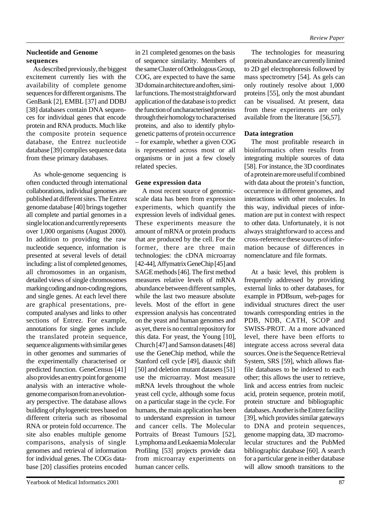## **Nucleotide and Genome sequences**

As described previously, the biggest excitement currently lies with the availability of complete genome sequences for different organisms. The GenBank [2], EMBL [37] and DDBJ [38] databases contain DNA sequences for individual genes that encode protein and RNA products. Much like the composite protein sequence database, the Entrez nucleotide database [39] compiles sequence data from these primary databases.

As whole-genome sequencing is often conducted through international collaborations, individual genomes are published at different sites. The Entrez genome database [40] brings together all complete and partial genomes in a single location and currently represents over 1,000 organisms (August 2000). In addition to providing the raw nucleotide sequence, information is presented at several levels of detail including: a list of completed genomes, all chromosomes in an organism, detailed views of single chromosomes marking coding and non-coding regions, and single genes. At each level there are graphical presentations, precomputed analyses and links to other sections of Entrez. For example, annotations for single genes include the translated protein sequence, sequence alignments with similar genes in other genomes and summaries of the experimentally characterised or predicted function. GeneCensus [41] also provides an entry point for genome analysis with an interactive wholegenome comparison from an evolutionary perspective. The database allows building of phylogenetic trees based on different criteria such as ribosomal RNA or protein fold occurrence. The site also enables multiple genome comparisons, analysis of single genomes and retrieval of information for individual genes. The COGs database [20] classifies proteins encoded

in 21 completed genomes on the basis of sequence similarity. Members of the same Cluster of Orthologous Group, COG, are expected to have the same 3D domain architecture and often, similar functions. The most straightforward application of the database is to predict the function of uncharacterised proteins through their homology to characterised proteins, and also to identify phylogenetic patterns of protein occurrence – for example, whether a given COG is represented across most or all organisms or in just a few closely related species.

## **Gene expression data**

A most recent source of genomicscale data has been from expression experiments, which quantify the expression levels of individual genes. These experiments measure the amount of mRNA or protein products that are produced by the cell. For the former, there are three main technologies: the cDNA microarray [42-44], Affymatrix GeneChip [45] and SAGE methods [46]. The first method measures relative levels of mRNA abundance between different samples, while the last two measure absolute levels. Most of the effort in gene expression analysis has concentrated on the yeast and human genomes and as yet, there is no central repository for this data. For yeast, the Young [10], Church [47] and Samson datasets [48] use the GeneChip method, while the Stanford cell cycle [49], diauxic shift [50] and deletion mutant datasets [51] use the microarray. Most measure mRNA levels throughout the whole yeast cell cycle, although some focus on a particular stage in the cycle. For humans, the main application has been to understand expression in tumour and cancer cells. The Molecular Portraits of Breast Tumours [52], Lymphoma and Leukaemia Molecular Profiling [53] projects provide data from microarray experiments on human cancer cells.

The technologies for measuring protein abundance are currently limited to 2D gel electrophoresis followed by mass spectrometry [54]. As gels can only routinely resolve about 1,000 proteins [55], only the most abundant can be visualised. At present, data from these experiments are only available from the literature [56,57].

## **Data integration**

The most profitable research in bioinformatics often results from integrating multiple sources of data [58]. For instance, the 3D coordinates of a protein are more useful if combined with data about the protein's function, occurrence in different genomes, and interactions with other molecules. In this way, individual pieces of information are put in context with respect to other data. Unfortunately, it is not always straightforward to access and cross-reference these sources of information because of differences in nomenclature and file formats.

At a basic level, this problem is frequently addressed by providing external links to other databases, for example in PDBsum, web-pages for individual structures direct the user towards corresponding entries in the PDB, NDB, CATH, SCOP and SWISS-PROT. At a more advanced level, there have been efforts to integrate access across several data sources. One is the Sequence Retrieval System, SRS [59], which allows flatfile databases to be indexed to each other; this allows the user to retrieve, link and access entries from nucleic acid, protein sequence, protein motif, protein structure and bibliographic databases. Another is the Entrez facility [39], which provides similar gateways to DNA and protein sequences, genome mapping data, 3D macromolecular structures and the PubMed bibliographic database [60]. A search for a particular gene in either database will allow smooth transitions to the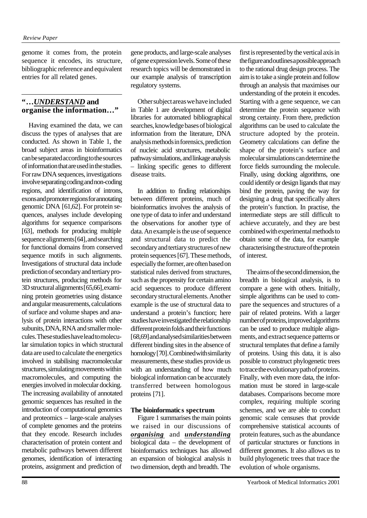genome it comes from, the protein sequence it encodes, its structure, bibliographic reference and equivalent entries for all related genes.

## **"…***UNDERSTAND* **and organise the information…"**

Having examined the data, we can discuss the types of analyses that are conducted. As shown in Table 1, the broad subject areas in bioinformatics can be separated according to the sources of information that are used in the studies. For raw DNA sequences, investigations involve separating coding and non-coding regions, and identification of introns, exons and promoter regions for annotating genomic DNA [61,62]. For protein sequences, analyses include developing algorithms for sequence comparisons [63], methods for producing multiple sequence alignments [64], and searching for functional domains from conserved sequence motifs in such alignments. Investigations of structural data include prediction of secondary and tertiary protein structures, producing methods for 3D structural alignments [65,66], examining protein geometries using distance and angular measurements, calculations of surface and volume shapes and analysis of protein interactions with other subunits, DNA, RNA and smaller molecules. These studies have lead to molecular simulation topics in which structural data are used to calculate the energetics involved in stabilising macromolecular structures, simulating movements within macromolecules, and computing the energies involved in molecular docking. The increasing availability of annotated genomic sequences has resulted in the introduction of computational genomics and proteomics – large-scale analyses of complete genomes and the proteins that they encode. Research includes characterisation of protein content and metabolic pathways between different genomes, identification of interacting proteins, assignment and prediction of

gene products, and large-scale analyses of gene expression levels. Some of these research topics will be demonstrated in our example analysis of transcription regulatory systems.

Other subject areas we have included in Table 1 are development of digital libraries for automated bibliographical searches, knowledge bases of biological information from the literature, DNA analysis methods in forensics, prediction of nucleic acid structures, metabolic pathway simulations, and linkage analysis – linking specific genes to different disease traits.

In addition to finding relationships between different proteins, much of bioinformatics involves the analysis of one type of data to infer and understand the observations for another type of data. An example is the use of sequence and structural data to predict the secondary and tertiary structures of new protein sequences [67]. These methods, especially the former, are often based on statistical rules derived from structures, such as the propensity for certain amino acid sequences to produce different secondary structural elements. Another example is the use of structural data to understand a protein's function; here studies have investigated the relationship different protein folds and their functions [68,69] and analysed similarities between different binding sites in the absence of homology [70]. Combined with similarity measurements, these studies provide us with an understanding of how much biological information can be accurately transferred between homologous proteins [71].

## **The bioinformatics spectrum**

Figure 1 summarises the main points we raised in our discussions of *organising* and *understanding* biological data – the development of bioinformatics techniques has allowed an expansion of biological analysis in two dimension, depth and breadth. The

first is represented by the vertical axis in the figure and outlines a possible approach to the rational drug design process. The aim is to take a single protein and follow through an analysis that maximises our understanding of the protein it encodes. Starting with a gene sequence, we can determine the protein sequence with strong certainty. From there, prediction algorithms can be used to calculate the structure adopted by the protein. Geometry calculations can define the shape of the protein's surface and molecular simulations can determine the force fields surrounding the molecule. Finally, using docking algorithms, one could identify or design ligands that may bind the protein, paving the way for designing a drug that specifically alters the protein's function. In practise, the intermediate steps are still difficult to achieve accurately, and they are best combined with experimental methods to obtain some of the data, for example characterising the structure of the protein of interest.

The aims of the second dimension, the breadth in biological analysis, is to compare a gene with others. Initially, simple algorithms can be used to compare the sequences and structures of a pair of related proteins. With a larger number of proteins, improved algorithms can be used to produce multiple alignments, and extract sequence patterns or structural templates that define a family of proteins. Using this data, it is also possible to construct phylogenetic trees to trace the evolutionary path of proteins. Finally, with even more data, the information must be stored in large-scale databases. Comparisons become more complex, requiring multiple scoring schemes, and we are able to conduct genomic scale censuses that provide comprehensive statistical accounts of protein features, such as the abundance of particular structures or functions in different genomes. It also allows us to build phylogenetic trees that trace the evolution of whole organisms.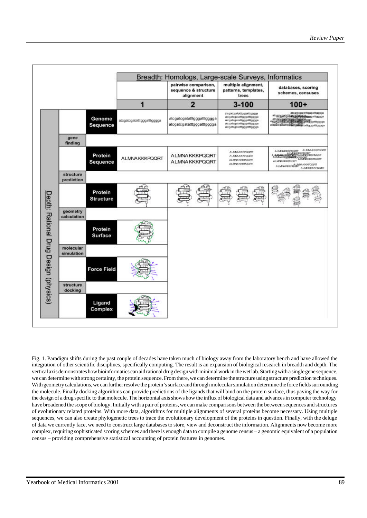

Fig. 1. Paradigm shifts during the past couple of decades have taken much of biology away from the laboratory bench and have allowed the integration of other scientific disciplines, specifically computing. The result is an expansion of biological research in breadth and depth. The vertical axis demonstrates how bioinformatics can aid rational drug design with minimal work in the wet lab. Starting with a single gene sequence, we can determine with strong certainty, the protein sequence. From there, we can determine the structure using structure prediction techniques. With geometry calculations, we can further resolve the protein's surface and through molecular simulation determine the force fields surrounding the molecule. Finally docking algorithms can provide predictions of the ligands that will bind on the protein surface, thus paving the way for the design of a drug specific to that molecule. The horizontal axis shows how the influx of biological data and advances in computer technology have broadened the scope of biology. Initially with a pair of proteins, we can make comparisons between the between sequences and structures of evolutionary related proteins. With more data, algorithms for multiple alignments of several proteins become necessary. Using multiple sequences, we can also create phylogenetic trees to trace the evolutionary development of the proteins in question. Finally, with the deluge of data we currently face, we need to construct large databases to store, view and deconstruct the information. Alignments now become more complex, requiring sophisticated scoring schemes and there is enough data to compile a genome census – a genomic equivalent of a population census – providing comprehensive statistical accounting of protein features in genomes.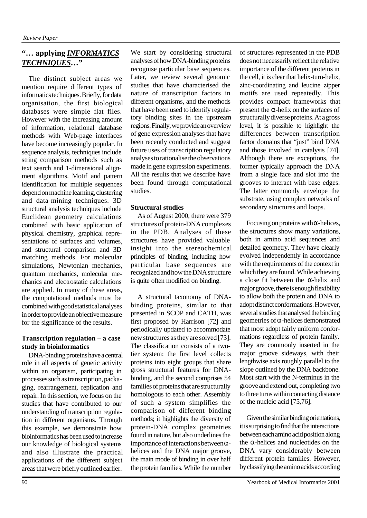## **"… applying** *INFORMATICS TECHNIQUES***…"**

The distinct subject areas we mention require different types of informatics techniques. Briefly, for data organisation, the first biological databases were simple flat files. However with the increasing amount of information, relational database methods with Web-page interfaces have become increasingly popular. In sequence analysis, techniques include string comparison methods such as text search and 1-dimensional alignment algorithms. Motif and pattern identification for multiple sequences depend on machine learning, clustering and data-mining techniques. 3D structural analysis techniques include Euclidean geometry calculations combined with basic application of physical chemistry, graphical representations of surfaces and volumes, and structural comparison and 3D matching methods. For molecular simulations, Newtonian mechanics, quantum mechanics, molecular mechanics and electrostatic calculations are applied. In many of these areas, the computational methods must be combined with good statistical analyses in order to provide an objective measure for the significance of the results.

## **Transcription regulation – a case study in bioinformatics**

DNA-binding proteins have a central role in all aspects of genetic activity within an organism, participating in processes such as transcription, packaging, rearrangement, replication and repair. In this section, we focus on the studies that have contributed to our understanding of transcription regulation in different organisms. Through this example, we demonstrate how bioinformatics has been used to increase our knowledge of biological systems and also illustrate the practical applications of the different subject areas that were briefly outlined earlier.

We start by considering structural analyses of how DNA-binding proteins recognise particular base sequences. Later, we review several genomic studies that have characterised the nature of transcription factors in different organisms, and the methods that have been used to identify regulatory binding sites in the upstream regions. Finally, we provide an overview of gene expression analyses that have been recently conducted and suggest future uses of transcription regulatory analyses to rationalise the observations made in gene expression experiments. All the results that we describe have been found through computational studies.

## **Structural studies**

As of August 2000, there were 379 structures of protein-DNA complexes in the PDB. Analyses of these structures have provided valuable insight into the stereochemical principles of binding, including how particular base sequences are recognized and how the DNA structure is quite often modified on binding.

A structural taxonomy of DNAbinding proteins, similar to that presented in SCOP and CATH, was first proposed by Harrison [72] and periodically updated to accommodate new structures as they are solved [73]. The classification consists of a twotier system: the first level collects proteins into eight groups that share gross structural features for DNAbinding, and the second comprises 54 families of proteins that are structurally homologous to each other. Assembly of such a system simplifies the comparison of different binding methods; it highlights the diversity of protein-DNA complex geometries found in nature, but also underlines the importance of interactions between αhelices and the DNA major groove, the main mode of binding in over half the protein families. While the number

of structures represented in the PDB does not necessarily reflect the relative importance of the different proteins in the cell, it is clear that helix-turn-helix, zinc-coordinating and leucine zipper motifs are used repeatedly. This provides compact frameworks that present the  $\alpha$ -helix on the surfaces of structurally diverse proteins. At a gross level, it is possible to highlight the differences between transcription factor domains that "just" bind DNA and those involved in catalysis [74]. Although there are exceptions, the former typically approach the DNA from a single face and slot into the grooves to interact with base edges. The latter commonly envelope the substrate, using complex networks of secondary structures and loops.

Focusing on proteins with  $\alpha$ -helices, the structures show many variations, both in amino acid sequences and detailed geometry. They have clearly evolved independently in accordance with the requirements of the context in which they are found. While achieving a close fit between the  $\alpha$ -helix and major groove, there is enough flexibility to allow both the protein and DNA to adopt distinct conformations. However, several studies that analysed the binding geometries of α-helices demonstrated that most adopt fairly uniform conformations regardless of protein family. They are commonly inserted in the major groove sideways, with their lengthwise axis roughly parallel to the slope outlined by the DNA backbone. Most start with the N-terminus in the groove and extend out, completing two to three turns within contacting distance of the nucleic acid [75,76].

Given the similar binding orientations, it is surprising to find that the interactions between each amino acid position along the α-helices and nucleotides on the DNA vary considerably between different protein families. However, by classifying the amino acids according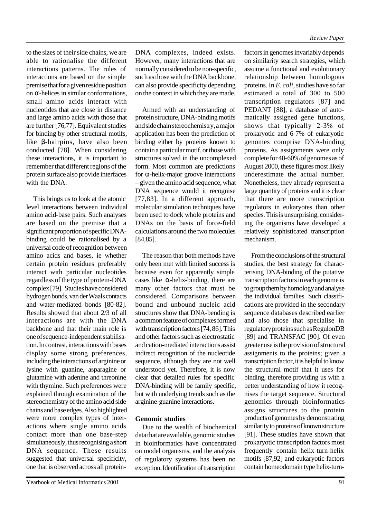to the sizes of their side chains, we are able to rationalise the different interactions patterns. The rules of interactions are based on the simple premise that for a given residue position on α-helices in similar conformations, small amino acids interact with nucleotides that are close in distance and large amino acids with those that are further [76,77]. Equivalent studies for binding by other structural motifs, like β-hairpins, have also been conducted [78]. When considering these interactions, it is important to remember that different regions of the protein surface also provide interfaces with the DNA.

This brings us to look at the atomic level interactions between individual amino acid-base pairs. Such analyses are based on the premise that a significant proportion of specific DNAbinding could be rationalised by a universal code of recognition between amino acids and bases, ie whether certain protein residues preferably interact with particular nucleotides regardless of the type of protein-DNA complex [79]. Studies have considered hydrogen bonds, van der Waals contacts and water-mediated bonds [80-82]. Results showed that about 2/3 of all interactions are with the DNA backbone and that their main role is one of sequence-independent stabilisation. In contrast, interactions with bases display some strong preferences, including the interactions of arginine or lysine with guanine, asparagine or glutamine with adenine and threonine with thymine. Such preferences were explained through examination of the stereochemistry of the amino acid side chains and base edges. Also highlighted were more complex types of interactions where single amino acids contact more than one base-step simultaneously, thus recognising a short DNA sequence. These results suggested that universal specificity, one that is observed across all proteinDNA complexes, indeed exists. However, many interactions that are normally considered to be non-specific, such as those with the DNA backbone, can also provide specificity depending on the context in which they are made.

Armed with an understanding of protein structure, DNA-binding motifs and side chain stereochemistry, a major application has been the prediction of binding either by proteins known to contain a particular motif, or those with structures solved in the uncomplexed form. Most common are predictions for α-helix-major groove interactions – given the amino acid sequence, what DNA sequence would it recognise [77,83]. In a different approach, molecular simulation techniques have been used to dock whole proteins and DNAs on the basis of force-field calculations around the two molecules [84,85].

The reason that both methods have only been met with limited success is because even for apparently simple cases like  $\alpha$ -helix-binding, there are many other factors that must be considered. Comparisons between bound and unbound nucleic acid structures show that DNA-bending is a common feature of complexes formed with transcription factors [74, 86]. This and other factors such as electrostatic and cation-mediated interactions assist indirect recognition of the nucleotide sequence, although they are not well understood yet. Therefore, it is now clear that detailed rules for specific DNA-binding will be family specific, but with underlying trends such as the arginine-guanine interactions.

## **Genomic studies**

Due to the wealth of biochemical data that are available, genomic studies in bioinformatics have concentrated on model organisms, and the analysis of regulatory systems has been no exception. Identification of transcription

factors in genomes invariably depends on similarity search strategies, which assume a functional and evolutionary relationship between homologous proteins. In *E. coli*, studies have so far estimated a total of 300 to 500 transcription regulators [87] and PEDANT [88], a database of automatically assigned gene functions, shows that typically 2-3% of prokaryotic and 6-7% of eukaryotic genomes comprise DNA-binding proteins. As assignments were only complete for 40-60% of genomes as of August 2000, these figures most likely underestimate the actual number. Nonetheless, they already represent a large quantity of proteins and it is clear that there are more transcription regulators in eukaryotes than other species. This is unsurprising, considering the organisms have developed a relatively sophisticated transcription mechanism.

From the conclusions of the structural studies, the best strategy for characterising DNA-binding of the putative transcription factors in each genome is to group them by homology and analyse the individual families. Such classifications are provided in the secondary sequence databases described earlier and also those that specialise in regulatory proteins such as RegulonDB [89] and TRANSFAC [90]. Of even greater use is the provision of structural assignments to the proteins; given a transcription factor, it is helpful to know the structural motif that it uses for binding, therefore providing us with a better understanding of how it recognises the target sequence. Structural genomics through bioinformatics assigns structures to the protein products of genomes by demonstrating similarity to proteins of known structure [91]. These studies have shown that prokaryotic transcription factors most frequently contain helix-turn-helix motifs [87,92] and eukaryotic factors contain homeodomain type helix-turn-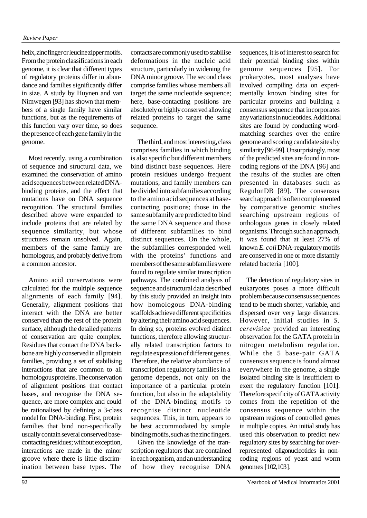#### *Review Paper*

helix, zinc finger or leucine zipper motifs. From the protein classifications in each genome, it is clear that different types of regulatory proteins differ in abundance and families significantly differ in size. A study by Huynen and van Nimwegen [93] has shown that members of a single family have similar functions, but as the requirements of this function vary over time, so does the presence of each gene family in the genome.

Most recently, using a combination of sequence and structural data, we examined the conservation of amino acid sequences between related DNAbinding proteins, and the effect that mutations have on DNA sequence recognition. The structural families described above were expanded to include proteins that are related by sequence similarity, but whose structures remain unsolved. Again, members of the same family are homologous, and probably derive from a common ancestor.

Amino acid conservations were calculated for the multiple sequence alignments of each family [94]. Generally, alignment positions that interact with the DNA are better conserved than the rest of the protein surface, although the detailed patterns of conservation are quite complex. Residues that contact the DNA backbone are highly conserved in all protein families, providing a set of stabilising interactions that are common to all homologous proteins. The conservation of alignment positions that contact bases, and recognise the DNA sequence, are more complex and could be rationalised by defining a 3-class model for DNA-binding. First, protein families that bind non-specifically usually contain several conserved basecontacting residues; without exception, interactions are made in the minor groove where there is little discrimination between base types. The

contacts are commonly used to stabilise deformations in the nucleic acid structure, particularly in widening the DNA minor groove. The second class comprise families whose members all target the same nucleotide sequence; here, base-contacting positions are absolutely or highly conserved allowing related proteins to target the same sequence.

The third, and most interesting, class comprises families in which binding is also specific but different members bind distinct base sequences. Here protein residues undergo frequent mutations, and family members can be divided into subfamilies according to the amino acid sequences at basecontacting positions; those in the same subfamily are predicted to bind the same DNA sequence and those of different subfamilies to bind distinct sequences. On the whole, the subfamilies corresponded well with the proteins' functions and members of the same subfamilies were found to regulate similar transcription pathways. The combined analysis of sequence and structural data described by this study provided an insight into how homologous DNA-binding scaffolds achieve different specificities by altering their amino acid sequences. In doing so, proteins evolved distinct functions, therefore allowing structurally related transcription factors to regulate expression of different genes. Therefore, the relative abundance of transcription regulatory families in a genome depends, not only on the importance of a particular protein function, but also in the adaptability of the DNA-binding motifs to recognise distinct nucleotide sequences. This, in turn, appears to be best accommodated by simple binding motifs, such as the zinc fingers.

Given the knowledge of the transcription regulators that are contained in each organism, and an understanding of how they recognise DNA sequences, it is of interest to search for their potential binding sites within genome sequences [95]. For prokaryotes, most analyses have involved compiling data on experimentally known binding sites for particular proteins and building a consensus sequence that incorporates any variations in nucleotides. Additional sites are found by conducting wordmatching searches over the entire genome and scoring candidate sites by similarity [96-99]. Unsurprisingly, most of the predicted sites are found in noncoding regions of the DNA [96] and the results of the studies are often presented in databases such as RegulonDB [89]. The consensus search approach is often complemented by comparative genomic studies searching upstream regions of orthologous genes in closely related organisms. Through such an approach, it was found that at least 27% of known *E. coli* DNA-regulatory motifs are conserved in one or more distantly related bacteria [100].

The detection of regulatory sites in eukaryotes poses a more difficult problem because consensus sequences tend to be much shorter, variable, and dispersed over very large distances. However, initial studies in *S. cerevisiae* provided an interesting observation for the GATA protein in nitrogen metabolism regulation. While the 5 base-pair GATA consensus sequence is found almost everywhere in the genome, a single isolated binding site is insufficient to exert the regulatory function [101]. Therefore specificity of GATA activity comes from the repetition of the consensus sequence within the upstream regions of controlled genes in multiple copies. An initial study has used this observation to predict new regulatory sites by searching for overrepresented oligonucleotides in noncoding regions of yeast and worm genomes [102,103].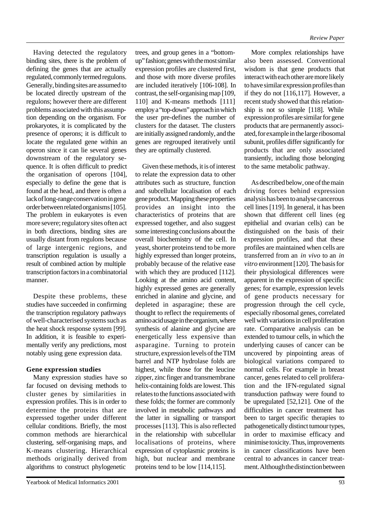Having detected the regulatory binding sites, there is the problem of defining the genes that are actually regulated, commonly termed regulons. Generally, binding sites are assumed to be located directly upstream of the regulons; however there are different problems associated with this assumption depending on the organism. For prokaryotes, it is complicated by the presence of operons; it is difficult to locate the regulated gene within an operon since it can lie several genes downstream of the regulatory sequence. It is often difficult to predict the organisation of operons [104], especially to define the gene that is found at the head, and there is often a lack of long-range conservation in gene order between related organisms [105]. The problem in eukaryotes is even more severe; regulatory sites often act in both directions, binding sites are usually distant from regulons because of large intergenic regions, and transcription regulation is usually a result of combined action by multiple transcription factors in a combinatorial manner.

Despite these problems, these studies have succeeded in confirming the transcription regulatory pathways of well-characterised systems such as the heat shock response system [99]. In addition, it is feasible to experimentally verify any predictions, most notably using gene expression data.

## **Gene expression studies**

Many expression studies have so far focused on devising methods to cluster genes by similarities in expression profiles. This is in order to determine the proteins that are expressed together under different cellular conditions. Briefly, the most common methods are hierarchical clustering, self-organising maps, and K-means clustering. Hierarchical methods originally derived from algorithms to construct phylogenetic

trees, and group genes in a "bottomup" fashion; genes with the most similar expression profiles are clustered first, and those with more diverse profiles are included iteratively [106-108]. In contrast, the self-organising map [109, 110] and K-means methods [111] employ a "top-down" approach in which the user pre-defines the number of clusters for the dataset. The clusters are initially assigned randomly, and the genes are regrouped iteratively until they are optimally clustered.

Given these methods, it is of interest to relate the expression data to other attributes such as structure, function and subcellular localisation of each gene product. Mapping these properties provides an insight into the characteristics of proteins that are expressed together, and also suggest some interesting conclusions about the overall biochemistry of the cell. In yeast, shorter proteins tend to be more highly expressed than longer proteins, probably because of the relative ease with which they are produced [112]. Looking at the amino acid content, highly expressed genes are generally enriched in alanine and glycine, and depleted in asparagine; these are thought to reflect the requirements of amino acid usage in the organism, where synthesis of alanine and glycine are energetically less expensive than asparagine. Turning to protein structure, expression levels of the TIM barrel and NTP hydrolase folds are highest, while those for the leucine zipper, zinc finger and transmembrane helix-containing folds are lowest. This relates to the functions associated with these folds; the former are commonly involved in metabolic pathways and the latter in signalling or transport processes [113]. This is also reflected in the relationship with subcellular localisations of proteins, where expression of cytoplasmic proteins is high, but nuclear and membrane proteins tend to be low [114,115].

More complex relationships have also been assessed. Conventional wisdom is that gene products that interact with each other are more likely to have similar expression profiles than if they do not [116,117]. However, a recent study showed that this relationship is not so simple [118]. While expression profiles are similar for gene products that are permanently associated, for example in the large ribosomal subunit, profiles differ significantly for products that are only associated transiently, including those belonging to the same metabolic pathway.

As described below, one of the main driving forces behind expression analysis has been to analyse cancerous cell lines [119]. In general, it has been shown that different cell lines (eg epithelial and ovarian cells) can be distinguished on the basis of their expression profiles, and that these profiles are maintained when cells are transferred from an *in vivo* to an *in vitro* environment [120]. The basis for their physiological differences were apparent in the expression of specific genes; for example, expression levels of gene products necessary for progression through the cell cycle, especially ribosomal genes, correlated well with variations in cell proliferation rate. Comparative analysis can be extended to tumour cells, in which the underlying causes of cancer can be uncovered by pinpointing areas of biological variations compared to normal cells. For example in breast cancer, genes related to cell proliferation and the IFN-regulated signal transduction pathway were found to be upregulated [52,121]. One of the difficulties in cancer treatment has been to target specific therapies to pathogenetically distinct tumour types, in order to maximise efficacy and minimise toxicity. Thus, improvements in cancer classifications have been central to advances in cancer treatment. Although the distinction between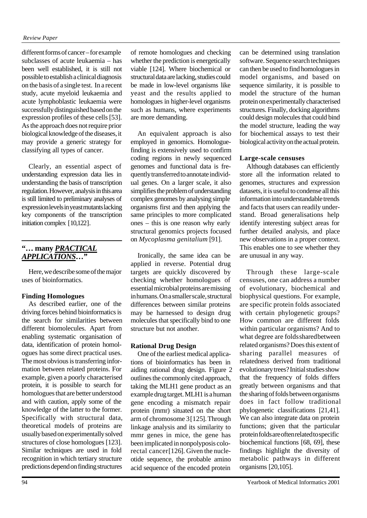different forms of cancer – for example subclasses of acute leukaemia – has been well established, it is still not possible to establish a clinical diagnosis on the basis of a single test. In a recent study, acute myeloid leukaemia and acute lymphoblastic leukaemia were successfully distinguished based on the expression profiles of these cells [53]. As the approach does not require prior biological knowledge of the diseases, it may provide a generic strategy for classifying all types of cancer.

Clearly, an essential aspect of understanding expression data lies in understanding the basis of transcription regulation. However, analysis in this area is still limited to preliminary analyses of expression levels in yeast mutants lacking key components of the transcription initiation complex [10,122].

## **"… many** *PRACTICAL APPLICATIONS***…"**

Here, we describe some of the major uses of bioinformatics.

## **Finding Homologues**

As described earlier, one of the driving forces behind bioinformatics is the search for similarities between different biomolecules. Apart from enabling systematic organisation of data, identification of protein homologues has some direct practical uses. The most obvious is transferring information between related proteins. For example, given a poorly characterised protein, it is possible to search for homologues that are better understood and with caution, apply some of the knowledge of the latter to the former. Specifically with structural data, theoretical models of proteins are usually based on experimentally solved structures of close homologues [123]. Similar techniques are used in fold recognition in which tertiary structure predictions depend on finding structures

of remote homologues and checking whether the prediction is energetically viable [124]. Where biochemical or structural data are lacking, studies could be made in low-level organisms like yeast and the results applied to homologues in higher-level organisms such as humans, where experiments are more demanding.

An equivalent approach is also employed in genomics. Homologuefinding is extensively used to confirm coding regions in newly sequenced genomes and functional data is frequently transferred to annotate individual genes. On a larger scale, it also simplifies the problem of understanding complex genomes by analysing simple organisms first and then applying the same principles to more complicated ones – this is one reason why early structural genomics projects focused on *Mycoplasma genitalium* [91].

Ironically, the same idea can be applied in reverse. Potential drug targets are quickly discovered by checking whether homologues of essential microbial proteins are missing in humans. On a smaller scale, structural differences between similar proteins may be harnessed to design drug molecules that specifically bind to one structure but not another.

## **Rational Drug Design**

One of the earliest medical applications of bioinformatics has been in aiding rational drug design. Figure 2 outlines the commonly cited approach, taking the MLH1 gene product as an example drug target. MLH1 is a human gene encoding a mismatch repair protein (mmr) situated on the short arm of chromosome 3 [125]. Through linkage analysis and its similarity to mmr genes in mice, the gene has been implicated in nonpolyposis colorectal cancer<sup>[126]</sup>. Given the nucleotide sequence, the probable amino acid sequence of the encoded protein

can be determined using translation software. Sequence search techniques can then be used to find homologues in model organisms, and based on sequence similarity, it is possible to model the structure of the human protein on experimentally characterised structures. Finally, docking algorithms could design molecules that could bind the model structure, leading the way for biochemical assays to test their biological activity on the actual protein.

## **Large-scale censuses**

Although databases can efficiently store all the information related to genomes, structures and expression datasets, it is useful to condense all this information into understandable trends and facts that users can readily understand. Broad generalisations help identify interesting subject areas for further detailed analysis, and place new observations in a proper context. This enables one to see whether they are unusual in any way.

Through these large-scale censuses, one can address a number of evolutionary, biochemical and biophysical questions. For example, are specific protein folds associated with certain phylogenetic groups? How common are different folds within particular organisms? And to what degree are folds shared between related organisms? Does this extent of sharing parallel measures of relatedness derived from traditional evolutionary trees? Initial studies show that the frequency of folds differs greatly between organisms and that the sharing of folds between organisms does in fact follow traditional phylogenetic classifications [21,41]. We can also integrate data on protein functions; given that the particular protein folds are often related to specific biochemical functions [68, 69], these findings highlight the diversity of metabolic pathways in different organisms [20,105].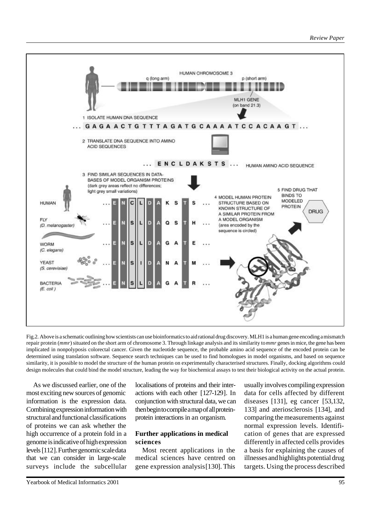

Fig.2. Above is a schematic outlining how scientists can use bioinformatics to aid rational drug discovery. MLH1 is a human gene encoding a mismatch repair protein (*mmr*) situated on the short arm of chromosome 3. Through linkage analysis and its similarity to *mmr* genes in mice, the gene has been implicated in nonpolyposis colorectal cancer. Given the nucleotide sequence, the probable amino acid sequence of the encoded protein can be determined using translation software. Sequence search techniques can be used to find homologues in model organisms, and based on sequence similarity, it is possible to model the structure of the human protein on experimentally characterised structures. Finally, docking algorithms could design molecules that could bind the model structure, leading the way for biochemical assays to test their biological activity on the actual protein.

As we discussed earlier, one of the most exciting new sources of genomic information is the expression data. Combining expression information with structural and functional classifications of proteins we can ask whether the high occurrence of a protein fold in a genome is indicative of high expression levels [112]. Further genomic scale data that we can consider in large-scale surveys include the subcellular localisations of proteins and their interactions with each other [127-129]. In conjunction with structural data, we can then begin to compile a map of all proteinprotein interactions in an organism.

## **Further applications in medical sciences**

Most recent applications in the medical sciences have centred on gene expression analysis [130]. This usually involves compiling expression data for cells affected by different diseases [131], eg cancer [53,132, 133] and ateriosclerosis [134], and comparing the measurements against normal expression levels. Identification of genes that are expressed differently in affected cells provides a basis for explaining the causes of illnesses and highlights potential drug targets. Using the process described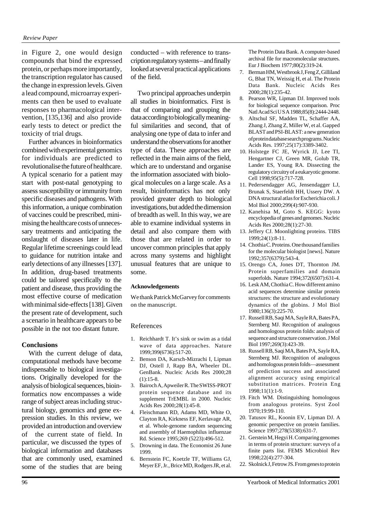in Figure 2, one would design compounds that bind the expressed protein, or perhaps more importantly, the transcription regulator has caused the change in expression levels. Given a lead compound, microarray experiments can then be used to evaluate responses to pharmacological intervention, [135,136] and also provide early tests to detect or predict the toxicity of trial drugs.

Further advances in bioinformatics combined with experimental genomics for individuals are predicted to revolutionalise the future of healthcare. A typical scenario for a patient may start with post-natal genotyping to assess susceptibility or immunity from specific diseases and pathogens. With this information, a unique combination of vaccines could be prescribed, minimising the healthcare costs of unnecessary treatments and anticipating the onslaught of diseases later in life. Regular lifetime screenings could lead to guidance for nutrition intake and early detections of any illnesses [137]. In addition, drug-based treatments could be tailored specifically to the patient and disease, thus providing the most effective course of medication with minimal side-effects [138]. Given the present rate of development, such a scenario in healthcare appears to be possible in the not too distant future.

## **Conclusions**

With the current deluge of data, computational methods have become indispensable to biological investigations. Originally developed for the analysis of biological sequences, bioinformatics now encompasses a wide range of subject areas including structural biology, genomics and gene expression studies. In this review, we provided an introduction and overview of the current state of field. In particular, we discussed the types of biological information and databases that are commonly used, examined some of the studies that are being

conducted – with reference to transcription regulatory systems – and finally looked at several practical applications of the field.

Two principal approaches underpin all studies in bioinformatics. First is that of comparing and grouping the data according to biologically meaningful similarities and second, that of analysing one type of data to infer and understand the observations for another type of data. These approaches are reflected in the main aims of the field, which are to understand and organise the information associated with biological molecules on a large scale. As a result, bioinformatics has not only provided greater depth to biological investigations, but added the dimension of breadth as well. In this way, we are able to examine individual systems in detail and also compare them with those that are related in order to uncover common principles that apply across many systems and highlight unusual features that are unique to some.

#### **Acknowledgements**

We thank Patrick McGarvey for comments on the manuscript.

#### References

- 1. Reichhardt T. It's sink or swim as a tidal wave of data approaches. Nature 1999;399(6736):517-20.
- 2. Benson DA, Karsch-Mizrachi I, Lipman DJ, Ostell J, Rapp BA, Wheeler DL. GenBank. Nucleic Acids Res 2000;28  $(1):15-8.$
- 3. Bairoch A, Apweiler R. The SWISS-PROT protein sequence database and its supplement TrEMBL in 2000. Nucleic Acids Res 2000;28(1):45-8.
- 4. Fleischmann RD, Adams MD, White O, Clayton RA, Kirkness EF, Kerlavage AR, et al. Whole-genome random sequencing and assembly of Haemophilus influenzae Rd. Science 1995;269 (5223):496-512.
- 5. Drowning in data. The Economist 26 June 1999.
- 6. Bernstein FC, Koetzle TF, Williams GJ, Meyer EF, Jr., Brice MD, Rodgers JR, et al.

The Protein Data Bank. A computer-based archival file for macromolecular structures. Eur J Biochem 1977;80(2):319-24.

- 7. Berman HM, Westbrook J, Feng Z, Gilliland G, Bhat TN, Weissig H, et al. The Protein Data Bank. Nucleic Acids Res 2000;28(1):235-42.
- 8. Pearson WR, Lipman DJ. Improved tools for biological sequence comparison. Proc Natl Acad Sci U S A 1988;85(8):2444-2448.
- 9. Altschul SF, Madden TL, Schaffer AA, Zhang J, Zhang Z, Miller W, et al. Gapped BLAST and PSI-BLAST: a new generation of protein database search programs. Nucleic Acids Res. 1997;25(17):3389-3402.
- 10. Holstege FC JE, Wyrick JJ, Lee TI, Hengartner CJ, Green MR, Golub TR, Lander ES, Young RA. Dissecting the regulatory circuitry of a eukaryotic genome. Cell 1998;95(5):717-728.
- 11. Pedersendagger AG, Jensendagger LJ, Brunak S, Staerfeldt HH, Ussery DW. A DNA structural atlas for Escherichia coli. J Mol Biol 2000;299(4):907-930.
- 12. Kanehisa M, Goto S. KEGG: kyoto encyclopedia of genes and genomes. Nucleic Acids Res 2000;28(1):27-30.
- 13. Jeffery CJ. Moonlighting proteins. TIBS 1999;24(1):8-11.
- 14. Chothia C. Proteins. One thousand families for the molecular biologist [news]. Nature 1992;357(6379):543-4.
- 15. Orengo CA, Jones DT, Thornton JM. Protein superfamilies and domain superfolds. Nature 1994;372(6507):631-4.
- 16. Lesk AM, Chothia C. How different amino acid sequences determine similar protein structures: the structure and evolutionary dynamics of the globins. J Mol Biol 1980;136(3):225-70.
- 17. Russell RB, Saqi MA, Sayle RA, Bates PA, Sternberg MJ. Recognition of analogous and homologous protein folds: analysis of sequence and structure conservation. J Mol Biol 1997;269(3):423-39.
- 18. Russell RB, Saqi MA, Bates PA, Sayle RA, Sternberg MJ. Recognition of analogous and homologous protein folds—assessment of prediction success and associated alignment accuracy using empirical substitution matrices. Protein Eng 1998;11(1):1-9.
- 19. Fitch WM. Distinguishing homologous from analogous proteins. Syst Zool 1970;19:99-110.
- 20. Tatusov RL, Koonin EV, Lipman DJ. A genomic perspective on protein families. Science 1997;278(5338):631-7.
- 21. Gerstein M, Hegyi H. Comparing genomes in terms of protein structure: surveys of a finite parts list. FEMS Microbiol Rev 1998;22(4):277-304.
- 22. Skolnick J, Fetrow JS. From genes to protein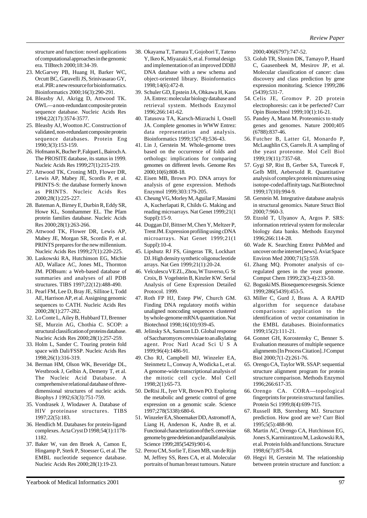structure and function: novel applications of computational approaches in the genomic era. TIBtech 2000;18:34-39.

- 23. McGarvey PB, Huang H, Barker WC, Orcutt BC, Garavelli JS, Srinivasarao GY, et al. PIR: a new resource for bioinformatics. Bioinformatics 2000;16(3):290-291.
- 24. Bleasby AJ, Akrigg D, Attwood TK. OWL—a non-redundant composite protein sequence database. Nucleic Acids Res 1994;22(17):3574-3577.
- 25. Bleasby AJ, Wootton JC. Construction of validated, non-redundant composite protein sequence databases. Protein Eng 1990;3(3):153-159.
- 26. Hofmann K, Bucher P, Falquet L, Bairoch A. The PROSITE database, its status in 1999. Nucleic Acids Res 1999;27(1):215-219.
- 27. Attwood TK, Croning MD, Flower DR, Lewis AP, Mabey JE, Scordis P, et al. PRINTS-S: the database formerly known as PRINTS. Nucleic Acids Res 2000;28(1):225-227.
- 28. Bateman A, Birney E, Durbin R, Eddy SR, Howe KL, Sonnhammer EL. The Pfam protein families database. Nucleic Acids Res 2000;28(1):263-266.
- 29. Attwood TK, Flower DR, Lewis AP, Mabey JE, Morgan SR, Scordis P, et al. PRINTS prepares for the new millennium. Nucleic Acids Res 1999;27(1):220-225.
- 30. Laskowski RA, Hutchinson EG, Michie AD, Wallace AC, Jones ML, Thornton JM. PDBsum: a Web-based database of summaries and analyses of all PDB structures. TIBS 1997;22(12):488-490.
- 31. Pearl FM, Lee D, Bray JE, Sillitoe I, Todd AE, Harrison AP, et al. Assigning genomic sequences to CATH. Nucleic Acids Res 2000;28(1):277-282.
- 32. Lo Conte L, Ailey B, Hubbard TJ, Brenner SE, Murzin AG, Chothia C. SCOP: a structural classification of proteins database. Nucleic Acids Res 2000;28(1):257-259.
- 33. Holm L, Sander C. Touring protein fold space with Dali/FSSP. Nucleic Acids Res 1998;26(1):316-319.
- 34. Berman HM, Olson WK, Beveridge DL, Westbrook J, Gelbin A, Demeny T, et al. The Nucleic Acid Database. A comprehensive relational database of threedimensional structures of nucleic acids. Biophys J 1992;63(3):751-759.
- 35. Vondrasek J, Wlodawer A. Database of HIV proteinase structures. TIBS 1997;22(5):183.
- 36. Hendlich M. Databases for protein-ligand complexes. Acta Cryst D 1998;54(1):1178- 1182.
- 37. Baker W, van den Broek A, Camon E, Hingamp P, Sterk P, Stoesser G, et al. The EMBL nucleotide sequence database. Nucleic Acids Res 2000;28(1):19-23.
- 38. Okayama T, Tamura T, Gojobori T, Tateno Y, Ikeo K, Miyazaki S, et al. Formal design and implementation of an improved DDBJ DNA database with a new schema and object-oriented library. Bioinformatics 1998;14(6):472-8.
- 39. Schuler GD, Epstein JA, Ohkawa H, Kans JA. Entrez: molecular biology database and retrieval system. Methods Enzymol 1996;266:141-62.
- 40. Tatusova TA, Karsch-Mizrachi I, Ostell JA. Complete genomes in WWW Entrez: data representation and analysis. Bioinformatics 1999;15(7-8):536-43.
- 41. Lin J, Gerstein M. Whole-genome trees based on the occurrence of folds and orthologs: implications for comparing genomes on different levels. Genome Res 2000;10(6):808-18.
- 42. Eisen MB, Brown PO. DNA arrays for analysis of gene expression. Methods Enzymol 1999;303:179-205.
- 43. Cheung VG, Morley M, Aguilar F, Massimi A, Kucherlapati R, Childs G. Making and reading microarrays. Nat Genet 1999;21(1 Suppl):15-9.
- 44. Duggan DJ, Bittner M, Chen Y, Meltzer P, Trent JM. Expression profiling using cDNA microarrays. Nat Genet 1999;21(1 Suppl):10-4.
- 45. Lipshutz RJ FS, Gingeras TR, Lockhart DJ. High density synthetic oligonucleotide arrays. Nat Gen 1999;21(1):20-24.
- 46. Velculescu VE ZL, Zhou, W Traverso, G St Croix, B Vogelstein B, Kinzler KW. Serial Analysis of Gene Expression Detailed Protocol. 1999.
- 47. Roth FP HJ, Estep PW, Church GM. Finding DNA regulatory motifs within unaligned noncoding sequences clustered by whole-genome mRNA quantitation. Nat Biotechnol 1998;16(10):939-45.
- 48. Jelinsky SA, Samson LD. Global response of Saccharomyces cerevisiae to an alkylating agent. Proc Natl Acad Sci U S A 1999;96(4):1486-91.
- 49. Cho RJ, Campbell MJ, Winzeler EA, Steinmetz L, Conway A, Wodicka L, et al. A genome-wide transcriptional analysis of the mitotic cell cycle. Mol Cell 1998;2(1):65-73.
- 50. DeRisi JL, Iyer VR, Brown PO. Exploring the metabolic and genetic control of gene expression on a genomic scale. Science 1997;278(5338):680-6.
- 51. Winzeler EA, Shoemaker DD, Astromoff A, Liang H, Anderson K, Andre B, et al. Functional characterization of the S. cerevisiae genome by gene deletion and parallel analysis. Science 1999;285(5429):901-6.
- 52. Perou CM, Sorlie T, Eisen MB, van de Rijn M, Jeffrey SS, Rees CA, et al. Molecular portraits of human breast tumours. Nature

2000;406(6797):747-52.

- 53. Golub TR, Slonim DK, Tamayo P, Huard C, Gaasenbeek M, Mesirov JP, et al. Molecular classification of cancer: class discovery and class prediction by gene expression monitoring. Science 1999;286 (5439):531-7.
- 54. Celis JE, Gromov P. 2D protein electrophoresis: can it be perfected? Curr Opin Biotechnol 1999;10(1):16-21.
- 55. Pandey A, Mann M. Proteomics to study genes and genomes. Nature 2000;405 (6788):837-46.
- 56. Futcher B, Latter GI, Monardo P, McLaughlin CS, Garrels JI. A sampling of the yeast proteome. Mol Cell Biol 1999;19(11):7357-68.
- 57. Gygi SP, Rist B, Gerber SA, Turecek F, Gelb MH, Aebersold R. Quantitative analysis of complex protein mixtures using isotope-coded affinity tags. Nat Biotechnol 1999;17(10):994-9.
- 58. Gerstein M. Integrative database analysis in structural genomics. Nature Struct Biol 2000;7:960-3.
- 59. Etzold T, Ulyanov A, Argos P. SRS: information retrieval system for molecular biology data banks. Methods Enzymol 1996;266:114-28.
- 60. Wade K. Searching Entrez PubMed and uncover on the internet [news]. Aviat Space Environ Med 2000;71(5):559.
- 61. Zhang MQ. Promoter analysis of coregulated genes in the yeast genome. Comput Chem 1999;23(3-4):233-50.
- 62. Boguski MS. Biosequence exegesis. Science 1999;286(5439):453-5.
- 63. Miller C, Gurd J, Brass A. A RAPID algorithm for sequence database comparisons: application to the identification of vector contamination in the EMBL databases. Bioinformatics 1999;15(2):111-21.
- 64. Gonnet GH, Korostensky C, Benner S. Evaluation measures of multiple sequence alignments [In Process Citation]. J Comput Biol 2000;7(1-2):261-76.
- 65. Orengo CA, Taylor WR. SSAP: sequential structure alignment program for protein structure comparison. Methods Enzymol 1996;266:617-35.
- 66. Orengo CA. CORA—topological fingerprints for protein structural families. Protein Sci 1999;8(4):699-715.
- 67. Russell RB, Sternberg MJ. Structure prediction. How good are we? Curr Biol 1995;5(5):488-90.
- 68. Martin AC, Orengo CA, Hutchinson EG, Jones S, Karmirantzou M, Laskowski RA, et al. Protein folds and functions. Structure 1998;6(7):875-84.
- 69. Hegyi H, Gerstein M. The relationship between protein structure and function: a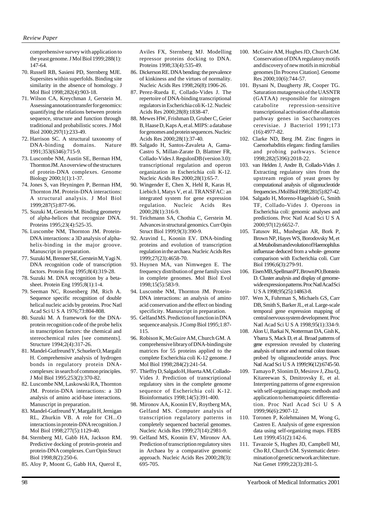comprehensive survey with application to the yeast genome. J Mol Biol 1999;288(1): 147-64.

- 70. Russell RB, Sasieni PD, Sternberg MJE. Supersites within superfolds. Binding site similarity in the absence of homology. J Mol Biol 1998;282(4):903-18.
- 71. Wilson CA, Kreychman J, Gerstein M. Assessing annotation transfer for genomics: quantifying the relations between protein sequence, structure and function through traditional and probabilistic scores. J Mol Biol 2000;297(1):233-49.
- 72. Harrison SC. A structural taxonomy of DNA-binding domains. Nature 1991;353(6346):715-9.
- 73. Luscombe NM, Austin SE, Berman HM, Thornton JM. An overview of the structures of protein-DNA complexes. Genome Biology 2000;1(1):1-37.
- 74. Jones S, van Heyningen P, Berman HM, Thornton JM. Protein-DNA interactions: A structural analysis. J Mol Biol 1999;287(5):877-96.
- 75. Suzuki M, Gerstein M. Binding geometry of alpha-helices that recognize DNA. Proteins 1995;23(4):525-35.
- 76. Luscombe NM, Thornton JM. Protein-DNA interactions: a 3D analysis of alphahelix-binding in the major groove. Manuscript in preparation.
- 77. Suzuki M, Brenner SE, Gerstein M, Yagi N. DNA recognition code of transcription factors. Protein Eng 1995;8(4):319-28.
- 78. Suzuki M. DNA recognition by a betasheet. Protein Eng 1995;8(1):1-4.
- 79. Seeman NC, Rosenberg JM, Rich A. Sequence specific recognition of double helical nucleic acids by proteins. Proc Natl Acad Sci U S A 1976;73:804-808.
- 80. Suzuki M. A framework for the DNAprotein recognition code of the probe helix in transcription factors: the chemical and stereochemical rules [see comments]. Structure 1994;2(4):317-26.
- 81. Mandel-Gutfreund Y, Schueler O, Margalit H. Comprehensive analysis of hydrogen bonds in regulatory protein DNAcomplexes: in search of common principles. J Mol Biol 1995;253(2):370-82.
- 82. Luscombe NM, Laskowski RA, Thornton JM. Protein-DNA interactions: a 3D analysis of amino acid-base interactions. Manuscript in preparation.
- 83. Mandel-Gutfreund Y, Margalit H, Jernigan RL, Zhurkin VB. A role for CH...O interactions in protein-DNA recognition. J Mol Biol 1998;277(5):1129-40.
- 84. Sternberg MJ, Gabb HA, Jackson RM. Predictive docking of protein-protein and protein-DNA complexes. Curr Opin Struct Biol 1998;8(2):250-6.
- 85. Aloy P, Moont G, Gabb HA, Querol E,

Aviles FX, Sternberg MJ. Modelling repressor proteins docking to DNA. Proteins 1998;33(4):535-49.

- 86. Dickerson RE. DNA bending: the prevalence of kinkiness and the virtues of normality. Nucleic Acids Res 1998;26(8):1906-26.
- 87. Perez-Rueda E, Collado-Vides J. The repertoire of DNA-binding transcriptional regulators in Escherichia coli K-12. Nucleic Acids Res 2000;28(8):1838-47.
- 88. Mewes HW, Frishman D, Gruber C, Geier B, Haase D, Kaps A, et al. MIPS: a database for genomes and protein sequences. Nucleic Acids Res 2000;28(1):37-40.
- 89. Salgado H, Santos-Zavaleta A, Gama-Castro S, Millan-Zarate D, Blattner FR, Collado-Vides J. RegulonDB (version 3.0): transcriptional regulation and operon organization in Escherichia coli K-12. Nucleic Acids Res 2000;28(1):65-7.
- 90. Wingender E, Chen X, Hehl R, Karas H, Liebich I, Matys V, et al. TRANSFAC: an integrated system for gene expression regulation. Nucleic Acids Res 2000;28(1):316-9.
- 91. Teichmann SA, Chothia C, Gerstein M. Advances in structural genomics. Curr Opin Struct Biol 1999;9(3):390-9.
- 92. Aravind L, Koonin EV. DNA-binding proteins and evolution of transcription regulation in the archaea. Nucleic Acids Res 1999;27(23):4658-70.
- 93. Huynen MA, van Nimwegen E. The frequency distribution of gene family sizes in complete genomes. Mol Biol Evol 1998;15(5):583-9.
- 94. Luscombe NM, Thornton JM. Protein-DNA interactions: an analysis of amino acid conservation and the effect on binding specificity. Manuscript in preparation.
- 95. Gelfand MS. Prediction of function in DNA sequence analysis. J Comp Biol 1995;1:87- 115.
- 96. Robison K, McGuire AM, Church GM. A comprehensive library of DNA-binding site matrices for 55 proteins applied to the complete Escherichia coli K-12 genome. J Mol Biol 1998;284(2):241-54.
- 97. Thieffry D, Salgado H, Huerta AM, Collado-Vides J. Prediction of transcriptional regulatory sites in the complete genome sequence of Escherichia coli K-12. Bioinformatics 1998;14(5):391-400.
- 98. Mironov AA, Koonin EV, Roytberg MA, Gelfand MS. Computer analysis of transcription regulatory patterns in completely sequenced bacterial genomes. Nucleic Acids Res 1999;27(14):2981-9.
- 99. Gelfand MS, Koonin EV, Mironov AA. Prediction of transcription regulatory sites in Archaea by a comparative genomic approach. Nucleic Acids Res 2000;28(3): 695-705.
- 100. McGuire AM, Hughes JD, Church GM. Conservation of DNA regulatory motifs and discovery of new motifs in microbial genomes [In Process Citation]. Genome Res 2000;10(6):744-57.
- 101. Bysani N, Daugherty JR, Cooper TG. Saturation mutagenesis of the UASNTR (GATAA) responsible for nitrogen catabolite repression-sensitive transcriptional activation of the allantoin pathway genes in Saccharomyces cerevisiae. J Bacteriol 1991;173 (16):4977-82.
- 102. Clarke ND, Berg JM. Zinc fingers in Caenorhabditis elegans: finding families and probing pathways. Science 1998;282(5396):2018-22.
- 103. van Helden J, Andre B, Collado-Vides J. Extracting regulatory sites from the upstream region of yeast genes by computational analysis of oligonucleotide frequencies. JMol Biol 1998; 281(5): 827-42.
- 104. Salgado H, Moreno-Hagelsieb G, Smith TF, Collado-Vides J. Operons in Escherichia coli: genomic analyses and predictions. Proc Natl Acad Sci U S A 2000;97(12):6652-7.
- 105. Tatusov RL, Mushegian AR, Bork P, Brown NP, Hayes WS, Borodovsky M, et al. Metabolism and evolution of Haemophilus influenzae deduced from a whole- genome comparison with Escherichia coli. Curr Biol 1996;6(3):279-91.
- 106. Eisen MB, Spellman PT, Brown PO, Botstein D. Cluster analysis and display of genomewide expression patterns. Proc Natl Acad Sci U S A 1998;95(25):14863-8.
- 107. Wen X, Fuhrman S, Michaels GS, Carr DB, Smith S, Barker JL, et al. Large-scale temporal gene expression mapping of central nervous system development. Proc Natl Acad Sci U S A 1998;95(1):334-9.
- 108. Alon U, Barkai N, Notterman DA, Gish K, Ybarra S, Mack D, et al. Broad patterns of gene expression revealed by clustering analysis of tumor and normal colon tissues probed by oligonucleotide arrays. Proc Natl Acad Sci U S A 1999;96(12):6745-50.
- 109. Tamayo P, Slonim D, Mesirov J, Zhu Q, Kitareewan S, Dmitrovsky E, et al. Interpreting patterns of gene expression with self-organizing maps: methods and application to hematopoietic differentiation. Proc Natl Acad Sci U S A 1999;96(6):2907-12.
- 110. Toronen P, Kolehmainen M, Wong G, Castren E. Analysis of gene expression data using self-organizing maps. FEBS Lett 1999;451(2):142-6.
- 111. Tavazoie S, Hughes JD, Campbell MJ, Cho RJ, Church GM. Systematic determination of genetic network architecture. Nat Genet 1999;22(3):281-5.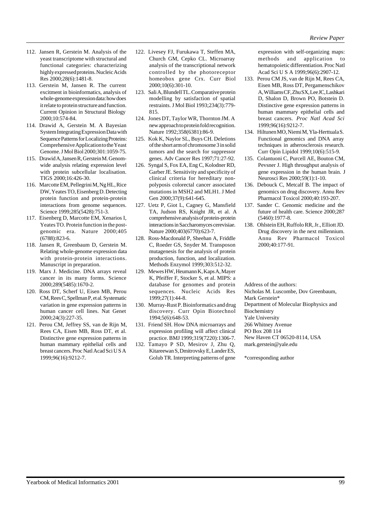- 112. Jansen R, Gerstein M. Analysis of the yeast transcriptome with structural and functional categories: characterizing highly expressed proteins. Nucleic Acids Res 2000;28(6):1481-8.
- 113. Gerstein M, Jansen R. The current excitment in bioinformatics, analysis of whole-genome expression data: how does it relate to protein structure and function. Current Opinion in Structural Biology 2000;10:574-84.
- 114. Drawid A, Gerstein M. A Bayesian System Integrating Expression Data with Sequence Patterns for Localizing Proteins: Comprehensive Application to the Yeast Genome. J Mol Biol 2000;301:1059-75.
- 115. Drawid A, Jansen R, Gerstein M. Genomwide analysis relating expression level with protein subcellular localisation. TIGS 2000;16:426-30.
- 116. Marcotte EM, Pellegrini M, Ng HL, Rice DW, Yeates TO, Eisenberg D. Detecting protein function and protein-protein interactions from genome sequences. Science 1999;285(5428):751-3.
- 117. Eisenberg D, Marcotte EM, Xenarios I, Yeates TO. Protein function in the postgenomic era. Nature 2000;405 (6788):823-6.
- 118. Jansen R, Greenbaum D, Gerstein M. Relating whole-genome expression data with protein-protein interactions. Manuscript in preparation.
- 119. Marx J. Medicine. DNA arrays reveal cancer in its many forms. Science 2000;289(5485):1670-2.
- 120. Ross DT, Scherf U, Eisen MB, Perou CM, Rees C, Spellman P, et al. Systematic variation in gene expression patterns in human cancer cell lines. Nat Genet 2000;24(3):227-35.
- 121. Perou CM, Jeffrey SS, van de Rijn M, Rees CA, Eisen MB, Ross DT, et al. Distinctive gene expression patterns in human mammary epithelial cells and breast cancers. Proc Natl Acad Sci U S A 1999;96(16):9212-7.
- 122. Livesey FJ, Furukawa T, Steffen MA, Church GM, Cepko CL. Microarray analysis of the transcriptional network controlled by the photoreceptor homeobox gene Crx. Curr Biol 2000;10(6):301-10.
- 123. Sali A, Blundell TL. Comparative protein modelling by satisfaction of spatial restraints. J Mol Biol 1993;234(3):779- 815.
- 124. Jones DT, Taylor WR, Thornton JM. A new approach to protein fold recognition. Nature 1992;358(6381):86-9.
- 125. Kok K, Naylor SL, Buys CH. Deletions of the short arm of chromosome 3 in solid tumors and the search for suppressor genes. Adv Cancer Res 1997;71:27-92.
- 126. Syngal S, Fox EA, Eng C, Kolodner RD, Garber JE. Sensitivity and specificity of clinical criteria for hereditary nonpolyposis colorectal cancer associated mutations in MSH2 and MLH1. J Med Gen 2000;37(9):641-645.
- 127. Uetz P, Giot L, Cagney G, Mansfield TA, Judson RS, Knight JR, et al. A comprehensive analysis of protein-protein interactions in Saccharomyces cerevisiae. Nature 2000;403(6770):623-7.
- 128. Ross-Macdonald P, Sheehan A, Friddle C, Roeder GS, Snyder M. Transposon mutagenesis for the analysis of protein production, function, and localization. Methods Enzymol 1999;303:512-32.
- 129. Mewes HW, Heumann K, Kaps A, Mayer K, Pfeiffer F, Stocker S, et al. MIPS: a database for genomes and protein sequences. Nucleic Acids Res 1999;27(1):44-8.
- 130. Murray-Rust P. Bioinformatics and drug discovery. Curr Opin Biotechnol 1994;5(6):648-53.
- 131. Friend SH. How DNA microarrays and expression profiling will affect clinical practice. BMJ 1999;319(7220):1306-7.
- 132. Tamayo P SD, Mesirov J, Zhu Q, Kitareewan S, Dmitrovsky E, Lander ES, Golub TR. Interpreting patterns of gene

expression with self-organizing maps: methods and application to hematopoietic differentiation. Proc Natl Acad Sci U S A 1999;96(6):2907-12.

- 133. Perou CM JS, van de Rijn M, Rees CA, Eisen MB, Ross DT, Pergamenschikov A, Williams CF, Zhu SX, Lee JC, Lashkari D, Shalon D, Brown PO, Botstein D. Distinctive gene expression patterns in human mammary epithelial cells and breast cancers. *Proc Natl Acad Sci* 1999;96(16):9212-7.
- 134. Hiltunen MO, Niemi M, Yla-Herttuala S. Functional genomics and DNA array techniques in atherosclerosis research. Curr Opin Lipidol 1999;10(6):515-9.
- 135. Colantuoni C, Purcell AE, Bouton CM, Pevsner J. High throughput analysis of gene expression in the human brain. J Neurosci Res 2000;59(1):1-10.
- 136. Debouck C, Metcalf B. The impact of genomics on drug discovery. Annu Rev Pharmacol Toxicol 2000;40:193-207.
- 137. Sander C. Genomic medicine and the future of health care. Science 2000;287 (5460):1977-8.
- 138. Ohlstein EH, Ruffolo RR, Jr., Elliott JD. Drug discovery in the next millennium. Annu Rev Pharmacol Toxicol 2000;40:177-91.

Address of the authors:

Nicholas M. Luscombe, Dov Greenbaum, Mark Gerstein\* Department of Molecular Biophysics and Biochemistry Yale University 266 Whitney Avenue PO Box 208 114 New Haven CT 06520-8114, USA mark.gerstein@yale.edu

\*corresponding author